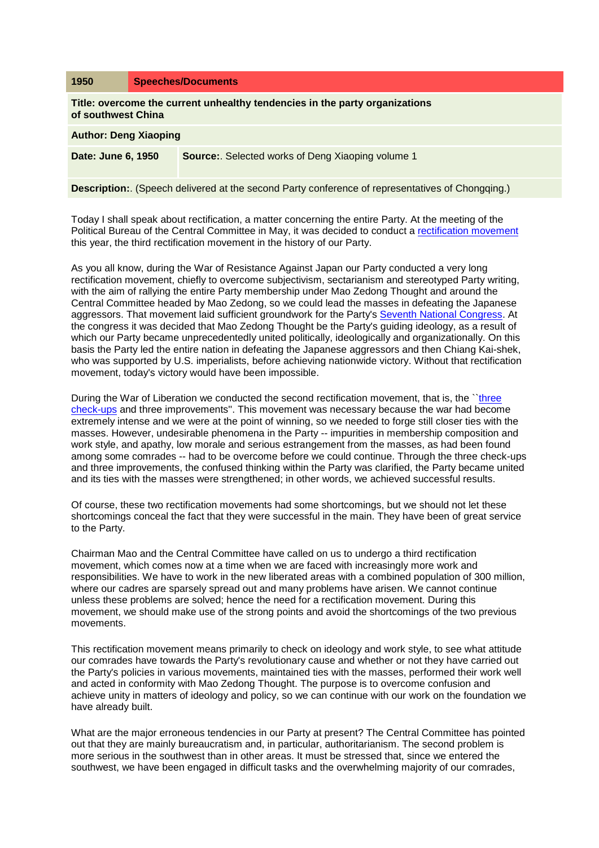| 1950                                                                                                   | <b>Speeches/Documents</b> |                                                          |
|--------------------------------------------------------------------------------------------------------|---------------------------|----------------------------------------------------------|
| Title: overcome the current unhealthy tendencies in the party organizations<br>of southwest China      |                           |                                                          |
| <b>Author: Deng Xiaoping</b>                                                                           |                           |                                                          |
| Date: June 6, 1950                                                                                     |                           | <b>Source:.</b> Selected works of Deng Xiaoping volume 1 |
| <b>Description:</b> (Speech delivered at the second Party conference of representatives of Chongging.) |                           |                                                          |

Today I shall speak about rectification, a matter concerning the entire Party. At the meeting of the Political Bureau of the Central Committee in May, it was decided to conduct a [rectification movement](http://english.peopledaily.com.cn/dengxp/vol1/note/A1240.html) this year, the third rectification movement in the history of our Party.

As you all know, during the War of Resistance Against Japan our Party conducted a very long rectification movement, chiefly to overcome subjectivism, sectarianism and stereotyped Party writing, with the aim of rallying the entire Party membership under Mao Zedong Thought and around the Central Committee headed by Mao Zedong, so we could lead the masses in defeating the Japanese aggressors. That movement laid sufficient groundwork for the Party's [Seventh National Congress.](http://english.peopledaily.com.cn/dengxp/vol1/note/A1250.html) At the congress it was decided that Mao Zedong Thought be the Party's guiding ideology, as a result of which our Party became unprecedentedly united politically, ideologically and organizationally. On this basis the Party led the entire nation in defeating the Japanese aggressors and then Chiang Kai-shek, who was supported by U.S. imperialists, before achieving nationwide victory. Without that rectification movement, today's victory would have been impossible.

During the War of Liberation we conducted the second rectification movement, that is, the "three [check-ups](http://english.peopledaily.com.cn/dengxp/vol1/note/A1260.html) and three improvements''. This movement was necessary because the war had become extremely intense and we were at the point of winning, so we needed to forge still closer ties with the masses. However, undesirable phenomena in the Party -- impurities in membership composition and work style, and apathy, low morale and serious estrangement from the masses, as had been found among some comrades -- had to be overcome before we could continue. Through the three check-ups and three improvements, the confused thinking within the Party was clarified, the Party became united and its ties with the masses were strengthened; in other words, we achieved successful results.

Of course, these two rectification movements had some shortcomings, but we should not let these shortcomings conceal the fact that they were successful in the main. They have been of great service to the Party.

Chairman Mao and the Central Committee have called on us to undergo a third rectification movement, which comes now at a time when we are faced with increasingly more work and responsibilities. We have to work in the new liberated areas with a combined population of 300 million, where our cadres are sparsely spread out and many problems have arisen. We cannot continue unless these problems are solved; hence the need for a rectification movement. During this movement, we should make use of the strong points and avoid the shortcomings of the two previous movements.

This rectification movement means primarily to check on ideology and work style, to see what attitude our comrades have towards the Party's revolutionary cause and whether or not they have carried out the Party's policies in various movements, maintained ties with the masses, performed their work well and acted in conformity with Mao Zedong Thought. The purpose is to overcome confusion and achieve unity in matters of ideology and policy, so we can continue with our work on the foundation we have already built.

What are the major erroneous tendencies in our Party at present? The Central Committee has pointed out that they are mainly bureaucratism and, in particular, authoritarianism. The second problem is more serious in the southwest than in other areas. It must be stressed that, since we entered the southwest, we have been engaged in difficult tasks and the overwhelming majority of our comrades,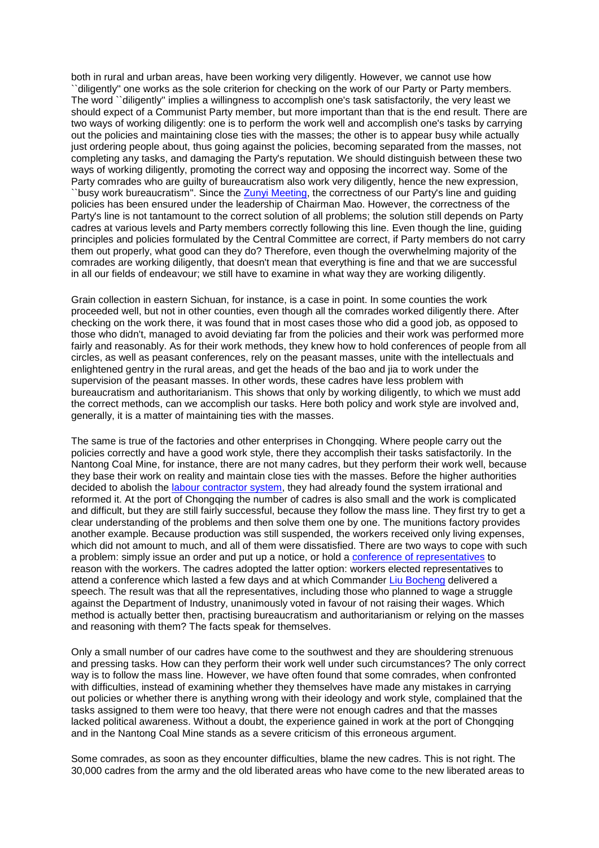both in rural and urban areas, have been working very diligently. However, we cannot use how ``diligently'' one works as the sole criterion for checking on the work of our Party or Party members. The word ``diligently'' implies a willingness to accomplish one's task satisfactorily, the very least we should expect of a Communist Party member, but more important than that is the end result. There are two ways of working diligently: one is to perform the work well and accomplish one's tasks by carrying out the policies and maintaining close ties with the masses; the other is to appear busy while actually just ordering people about, thus going against the policies, becoming separated from the masses, not completing any tasks, and damaging the Party's reputation. We should distinguish between these two ways of working diligently, promoting the correct way and opposing the incorrect way. Some of the Party comrades who are guilty of bureaucratism also work very diligently, hence the new expression, `busy work bureaucratism". Since the [Zunyi Meeting,](http://english.peopledaily.com.cn/dengxp/vol1/note/A0680.html) the correctness of our Party's line and guiding policies has been ensured under the leadership of Chairman Mao. However, the correctness of the Party's line is not tantamount to the correct solution of all problems; the solution still depends on Party cadres at various levels and Party members correctly following this line. Even though the line, guiding principles and policies formulated by the Central Committee are correct, if Party members do not carry them out properly, what good can they do? Therefore, even though the overwhelming majority of the comrades are working diligently, that doesn't mean that everything is fine and that we are successful in all our fields of endeavour; we still have to examine in what way they are working diligently.

Grain collection in eastern Sichuan, for instance, is a case in point. In some counties the work proceeded well, but not in other counties, even though all the comrades worked diligently there. After checking on the work there, it was found that in most cases those who did a good job, as opposed to those who didn't, managed to avoid deviating far from the policies and their work was performed more fairly and reasonably. As for their work methods, they knew how to hold conferences of people from all circles, as well as peasant conferences, rely on the peasant masses, unite with the intellectuals and enlightened gentry in the rural areas, and get the heads of the bao and jia to work under the supervision of the peasant masses. In other words, these cadres have less problem with bureaucratism and authoritarianism. This shows that only by working diligently, to which we must add the correct methods, can we accomplish our tasks. Here both policy and work style are involved and, generally, it is a matter of maintaining ties with the masses.

The same is true of the factories and other enterprises in Chongqing. Where people carry out the policies correctly and have a good work style, there they accomplish their tasks satisfactorily. In the Nantong Coal Mine, for instance, there are not many cadres, but they perform their work well, because they base their work on reality and maintain close ties with the masses. Before the higher authorities decided to abolish the [labour contractor system,](http://english.peopledaily.com.cn/dengxp/vol1/note/A1270.html) they had already found the system irrational and reformed it. At the port of Chongqing the number of cadres is also small and the work is complicated and difficult, but they are still fairly successful, because they follow the mass line. They first try to get a clear understanding of the problems and then solve them one by one. The munitions factory provides another example. Because production was still suspended, the workers received only living expenses, which did not amount to much, and all of them were dissatisfied. There are two ways to cope with such a problem: simply issue an order and put up a notice, or hold a [conference of representatives](http://english.peopledaily.com.cn/dengxp/vol1/note/A1150.html) to reason with the workers. The cadres adopted the latter option: workers elected representatives to attend a conference which lasted a few days and at which Commander [Liu Bocheng](http://english.peopledaily.com.cn/dengxp/vol1/note/A0160.html) delivered a speech. The result was that all the representatives, including those who planned to wage a struggle against the Department of Industry, unanimously voted in favour of not raising their wages. Which method is actually better then, practising bureaucratism and authoritarianism or relying on the masses and reasoning with them? The facts speak for themselves.

Only a small number of our cadres have come to the southwest and they are shouldering strenuous and pressing tasks. How can they perform their work well under such circumstances? The only correct way is to follow the mass line. However, we have often found that some comrades, when confronted with difficulties, instead of examining whether they themselves have made any mistakes in carrying out policies or whether there is anything wrong with their ideology and work style, complained that the tasks assigned to them were too heavy, that there were not enough cadres and that the masses lacked political awareness. Without a doubt, the experience gained in work at the port of Chongqing and in the Nantong Coal Mine stands as a severe criticism of this erroneous argument.

Some comrades, as soon as they encounter difficulties, blame the new cadres. This is not right. The 30,000 cadres from the army and the old liberated areas who have come to the new liberated areas to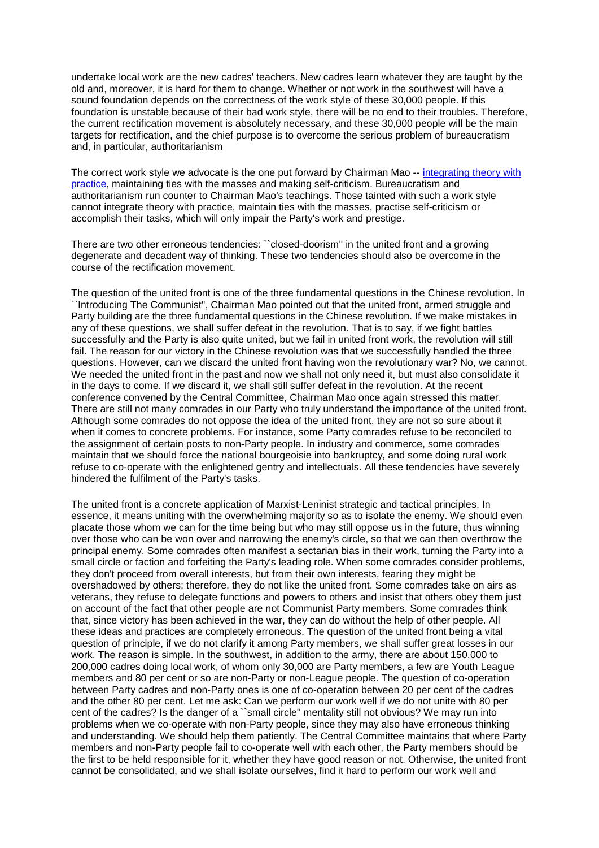undertake local work are the new cadres' teachers. New cadres learn whatever they are taught by the old and, moreover, it is hard for them to change. Whether or not work in the southwest will have a sound foundation depends on the correctness of the work style of these 30,000 people. If this foundation is unstable because of their bad work style, there will be no end to their troubles. Therefore, the current rectification movement is absolutely necessary, and these 30,000 people will be the main targets for rectification, and the chief purpose is to overcome the serious problem of bureaucratism and, in particular, authoritarianism

The correct work style we advocate is the one put forward by Chairman Mao -- integrating theory with [practice,](http://english.peopledaily.com.cn/dengxp/vol1/note/A1630.html) maintaining ties with the masses and making self-criticism. Bureaucratism and authoritarianism run counter to Chairman Mao's teachings. Those tainted with such a work style cannot integrate theory with practice, maintain ties with the masses, practise self-criticism or accomplish their tasks, which will only impair the Party's work and prestige.

There are two other erroneous tendencies: ``closed-doorism'' in the united front and a growing degenerate and decadent way of thinking. These two tendencies should also be overcome in the course of the rectification movement.

The question of the united front is one of the three fundamental questions in the Chinese revolution. In ``Introducing The Communist'', Chairman Mao pointed out that the united front, armed struggle and Party building are the three fundamental questions in the Chinese revolution. If we make mistakes in any of these questions, we shall suffer defeat in the revolution. That is to say, if we fight battles successfully and the Party is also quite united, but we fail in united front work, the revolution will still fail. The reason for our victory in the Chinese revolution was that we successfully handled the three questions. However, can we discard the united front having won the revolutionary war? No, we cannot. We needed the united front in the past and now we shall not only need it, but must also consolidate it in the days to come. If we discard it, we shall still suffer defeat in the revolution. At the recent conference convened by the Central Committee, Chairman Mao once again stressed this matter. There are still not many comrades in our Party who truly understand the importance of the united front. Although some comrades do not oppose the idea of the united front, they are not so sure about it when it comes to concrete problems. For instance, some Party comrades refuse to be reconciled to the assignment of certain posts to non-Party people. In industry and commerce, some comrades maintain that we should force the national bourgeoisie into bankruptcy, and some doing rural work refuse to co-operate with the enlightened gentry and intellectuals. All these tendencies have severely hindered the fulfilment of the Party's tasks.

The united front is a concrete application of Marxist-Leninist strategic and tactical principles. In essence, it means uniting with the overwhelming majority so as to isolate the enemy. We should even placate those whom we can for the time being but who may still oppose us in the future, thus winning over those who can be won over and narrowing the enemy's circle, so that we can then overthrow the principal enemy. Some comrades often manifest a sectarian bias in their work, turning the Party into a small circle or faction and forfeiting the Party's leading role. When some comrades consider problems, they don't proceed from overall interests, but from their own interests, fearing they might be overshadowed by others; therefore, they do not like the united front. Some comrades take on airs as veterans, they refuse to delegate functions and powers to others and insist that others obey them just on account of the fact that other people are not Communist Party members. Some comrades think that, since victory has been achieved in the war, they can do without the help of other people. All these ideas and practices are completely erroneous. The question of the united front being a vital question of principle, if we do not clarify it among Party members, we shall suffer great losses in our work. The reason is simple. In the southwest, in addition to the army, there are about 150,000 to 200,000 cadres doing local work, of whom only 30,000 are Party members, a few are Youth League members and 80 per cent or so are non-Party or non-League people. The question of co-operation between Party cadres and non-Party ones is one of co-operation between 20 per cent of the cadres and the other 80 per cent. Let me ask: Can we perform our work well if we do not unite with 80 per cent of the cadres? Is the danger of a ``small circle'' mentality still not obvious? We may run into problems when we co-operate with non-Party people, since they may also have erroneous thinking and understanding. We should help them patiently. The Central Committee maintains that where Party members and non-Party people fail to co-operate well with each other, the Party members should be the first to be held responsible for it, whether they have good reason or not. Otherwise, the united front cannot be consolidated, and we shall isolate ourselves, find it hard to perform our work well and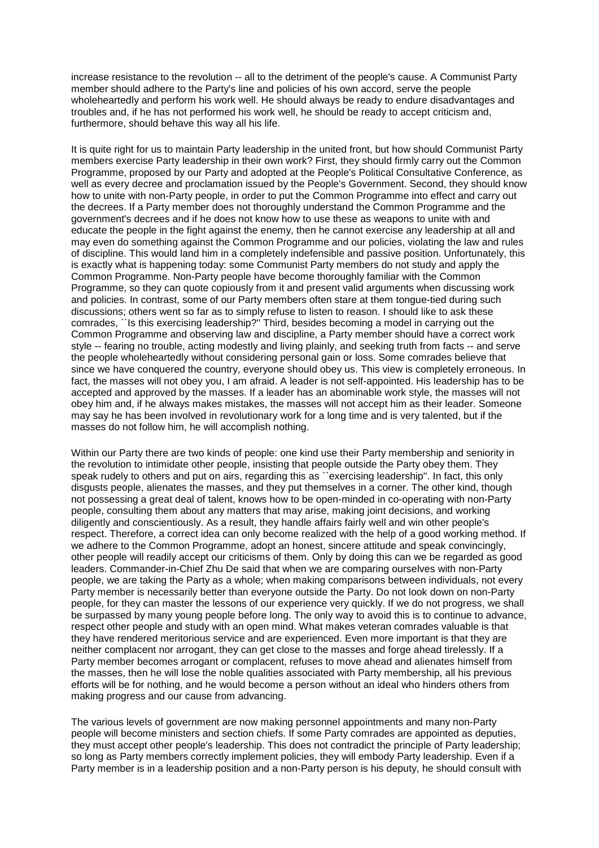increase resistance to the revolution -- all to the detriment of the people's cause. A Communist Party member should adhere to the Party's line and policies of his own accord, serve the people wholeheartedly and perform his work well. He should always be ready to endure disadvantages and troubles and, if he has not performed his work well, he should be ready to accept criticism and, furthermore, should behave this way all his life.

It is quite right for us to maintain Party leadership in the united front, but how should Communist Party members exercise Party leadership in their own work? First, they should firmly carry out the Common Programme, proposed by our Party and adopted at the People's Political Consultative Conference, as well as every decree and proclamation issued by the People's Government. Second, they should know how to unite with non-Party people, in order to put the Common Programme into effect and carry out the decrees. If a Party member does not thoroughly understand the Common Programme and the government's decrees and if he does not know how to use these as weapons to unite with and educate the people in the fight against the enemy, then he cannot exercise any leadership at all and may even do something against the Common Programme and our policies, violating the law and rules of discipline. This would land him in a completely indefensible and passive position. Unfortunately, this is exactly what is happening today: some Communist Party members do not study and apply the Common Programme. Non-Party people have become thoroughly familiar with the Common Programme, so they can quote copiously from it and present valid arguments when discussing work and policies. In contrast, some of our Party members often stare at them tongue-tied during such discussions; others went so far as to simply refuse to listen to reason. I should like to ask these comrades, ``Is this exercising leadership?'' Third, besides becoming a model in carrying out the Common Programme and observing law and discipline, a Party member should have a correct work style -- fearing no trouble, acting modestly and living plainly, and seeking truth from facts -- and serve the people wholeheartedly without considering personal gain or loss. Some comrades believe that since we have conquered the country, everyone should obey us. This view is completely erroneous. In fact, the masses will not obey you, I am afraid. A leader is not self-appointed. His leadership has to be accepted and approved by the masses. If a leader has an abominable work style, the masses will not obey him and, if he always makes mistakes, the masses will not accept him as their leader. Someone may say he has been involved in revolutionary work for a long time and is very talented, but if the masses do not follow him, he will accomplish nothing.

Within our Party there are two kinds of people: one kind use their Party membership and seniority in the revolution to intimidate other people, insisting that people outside the Party obey them. They speak rudely to others and put on airs, regarding this as "exercising leadership". In fact, this only disgusts people, alienates the masses, and they put themselves in a corner. The other kind, though not possessing a great deal of talent, knows how to be open-minded in co-operating with non-Party people, consulting them about any matters that may arise, making joint decisions, and working diligently and conscientiously. As a result, they handle affairs fairly well and win other people's respect. Therefore, a correct idea can only become realized with the help of a good working method. If we adhere to the Common Programme, adopt an honest, sincere attitude and speak convincingly, other people will readily accept our criticisms of them. Only by doing this can we be regarded as good leaders. Commander-in-Chief Zhu De said that when we are comparing ourselves with non-Party people, we are taking the Party as a whole; when making comparisons between individuals, not every Party member is necessarily better than everyone outside the Party. Do not look down on non-Party people, for they can master the lessons of our experience very quickly. If we do not progress, we shall be surpassed by many young people before long. The only way to avoid this is to continue to advance, respect other people and study with an open mind. What makes veteran comrades valuable is that they have rendered meritorious service and are experienced. Even more important is that they are neither complacent nor arrogant, they can get close to the masses and forge ahead tirelessly. If a Party member becomes arrogant or complacent, refuses to move ahead and alienates himself from the masses, then he will lose the noble qualities associated with Party membership, all his previous efforts will be for nothing, and he would become a person without an ideal who hinders others from making progress and our cause from advancing.

The various levels of government are now making personnel appointments and many non-Party people will become ministers and section chiefs. If some Party comrades are appointed as deputies, they must accept other people's leadership. This does not contradict the principle of Party leadership; so long as Party members correctly implement policies, they will embody Party leadership. Even if a Party member is in a leadership position and a non-Party person is his deputy, he should consult with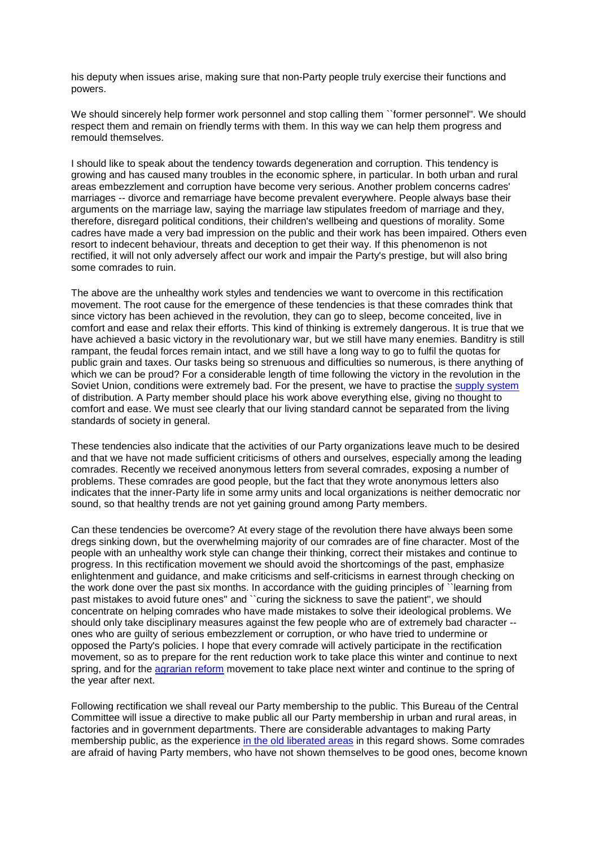his deputy when issues arise, making sure that non-Party people truly exercise their functions and powers.

We should sincerely help former work personnel and stop calling them ``former personnel". We should respect them and remain on friendly terms with them. In this way we can help them progress and remould themselves.

I should like to speak about the tendency towards degeneration and corruption. This tendency is growing and has caused many troubles in the economic sphere, in particular. In both urban and rural areas embezzlement and corruption have become very serious. Another problem concerns cadres' marriages -- divorce and remarriage have become prevalent everywhere. People always base their arguments on the marriage law, saying the marriage law stipulates freedom of marriage and they, therefore, disregard political conditions, their children's wellbeing and questions of morality. Some cadres have made a very bad impression on the public and their work has been impaired. Others even resort to indecent behaviour, threats and deception to get their way. If this phenomenon is not rectified, it will not only adversely affect our work and impair the Party's prestige, but will also bring some comrades to ruin.

The above are the unhealthy work styles and tendencies we want to overcome in this rectification movement. The root cause for the emergence of these tendencies is that these comrades think that since victory has been achieved in the revolution, they can go to sleep, become conceited, live in comfort and ease and relax their efforts. This kind of thinking is extremely dangerous. It is true that we have achieved a basic victory in the revolutionary war, but we still have many enemies. Banditry is still rampant, the feudal forces remain intact, and we still have a long way to go to fulfil the quotas for public grain and taxes. Our tasks being so strenuous and difficulties so numerous, is there anything of which we can be proud? For a considerable length of time following the victory in the revolution in the Soviet Union, conditions were extremely bad. For the present, we have to practise the [supply system](http://english.peopledaily.com.cn/dengxp/vol1/note/A1280.html) of distribution. A Party member should place his work above everything else, giving no thought to comfort and ease. We must see clearly that our living standard cannot be separated from the living standards of society in general.

These tendencies also indicate that the activities of our Party organizations leave much to be desired and that we have not made sufficient criticisms of others and ourselves, especially among the leading comrades. Recently we received anonymous letters from several comrades, exposing a number of problems. These comrades are good people, but the fact that they wrote anonymous letters also indicates that the inner-Party life in some army units and local organizations is neither democratic nor sound, so that healthy trends are not yet gaining ground among Party members.

Can these tendencies be overcome? At every stage of the revolution there have always been some dregs sinking down, but the overwhelming majority of our comrades are of fine character. Most of the people with an unhealthy work style can change their thinking, correct their mistakes and continue to progress. In this rectification movement we should avoid the shortcomings of the past, emphasize enlightenment and guidance, and make criticisms and self-criticisms in earnest through checking on the work done over the past six months. In accordance with the guiding principles of ``learning from past mistakes to avoid future ones" and ``curing the sickness to save the patient", we should concentrate on helping comrades who have made mistakes to solve their ideological problems. We should only take disciplinary measures against the few people who are of extremely bad character - ones who are guilty of serious embezzlement or corruption, or who have tried to undermine or opposed the Party's policies. I hope that every comrade will actively participate in the rectification movement, so as to prepare for the rent reduction work to take place this winter and continue to next spring, and for the [agrarian reform](http://english.peopledaily.com.cn/dengxp/vol1/note/A1220.html) movement to take place next winter and continue to the spring of the year after next.

Following rectification we shall reveal our Party membership to the public. This Bureau of the Central Committee will issue a directive to make public all our Party membership in urban and rural areas, in factories and in government departments. There are considerable advantages to making Party membership public, as the experience [in the old liberated areas](http://english.peopledaily.com.cn/dengxp/vol1/note/A1190.html) in this regard shows. Some comrades are afraid of having Party members, who have not shown themselves to be good ones, become known